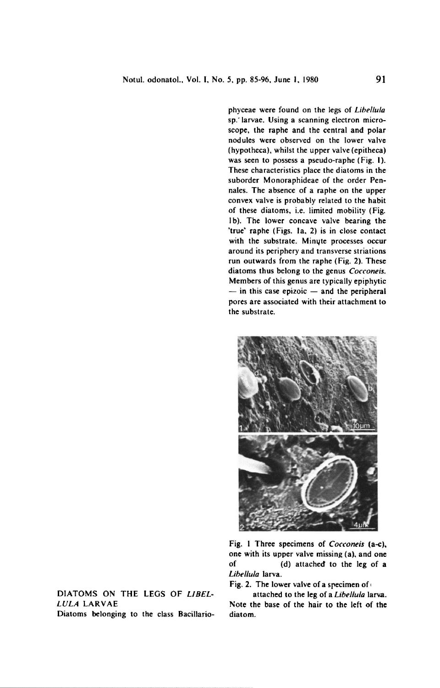phyceae were found on the legs of Libellula sp.'larvae. Using a scanning electron microscope, the raphe and the central and polar nodules were observed on the lower valve (hypotheca), whilst the upper valve (epitheca) was seen to possess a pseudo-raphe (Fig. I). These characteristics place the diatoms in the suborder Monoraphideae of the order Pennales. The absence of <sup>a</sup> raphe on the upper convex valve is probably related to the habit of these diatoms, i.e. limited mobility (Fig. lb). The lower concave valve bearing the 'true' raphe (Figs, la, 2) is in close contact with the substrate. Minyte processes occur around its periphery and transverse striations run outwards from the raphe (Fig. 2). These diatoms thus belong to the genus Cocconeis. Members of this genus are typically epiphytic  $-$  in this case epizoic  $-$  and the peripheral pores are associated with their attachment to the substrate.



Fig. <sup>I</sup> Three specimens of Cocconeis (a-c), one with its upper valve missing (a), and one of (d) attached to the leg of <sup>a</sup> Libellula larva.

Fig. 2. The lower valve of a specimen of

attached to the leg of a *Libellula* larva Note the base of the hair to the left of the diatom.

Diatoms on the legs of Libellula larvae Diatoms belonging to the class Bacillario-